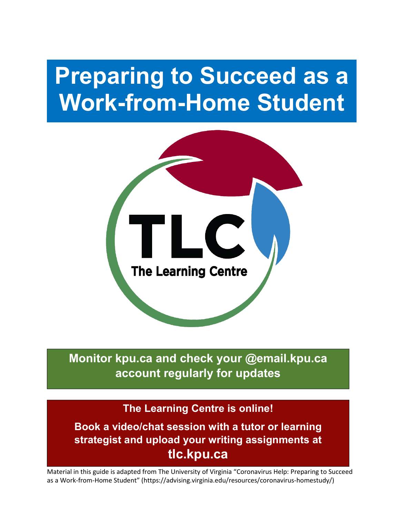# **Preparing to Succeed as a Work-from-Home Student**



**Monitor kpu.ca and check your @email.kpu.ca account regularly for updates**

#### **The Learning Centre is online!**

**Book a video/chat session with a tutor or learning strategist and upload your writing assignments at tlc.kpu.ca**

Material in this guide is adapted from The University of Virginia "Coronavirus Help: Preparing to Succeed as a Work-from-Home Student" (https://advising.virginia.edu/resources/coronavirus-homestudy/)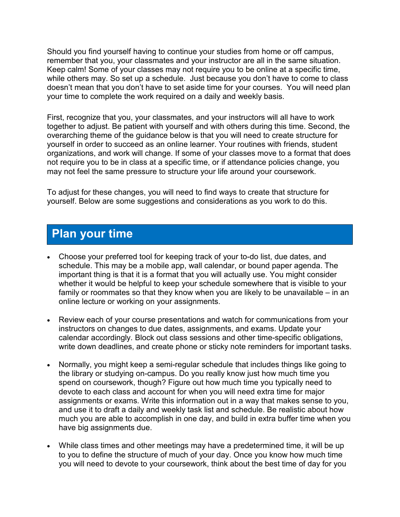Should you find yourself having to continue your studies from home or off campus, remember that you, your classmates and your instructor are all in the same situation. Keep calm! Some of your classes may not require you to be online at a specific time, while others may. So set up a schedule. Just because you don't have to come to class doesn't mean that you don't have to set aside time for your courses. You will need plan your time to complete the work required on a daily and weekly basis.

First, recognize that you, your classmates, and your instructors will all have to work together to adjust. Be patient with yourself and with others during this time. Second, the overarching theme of the guidance below is that you will need to create structure for yourself in order to succeed as an online learner. Your routines with friends, student organizations, and work will change. If some of your classes move to a format that does not require you to be in class at a specific time, or if attendance policies change, you may not feel the same pressure to structure your life around your coursework.

To adjust for these changes, you will need to find ways to create that structure for yourself. Below are some suggestions and considerations as you work to do this.

#### **Plan your time**

- Choose your preferred tool for keeping track of your to-do list, due dates, and schedule. This may be a mobile app, wall calendar, or bound paper agenda. The important thing is that it is a format that you will actually use. You might consider whether it would be helpful to keep your schedule somewhere that is visible to your family or roommates so that they know when you are likely to be unavailable – in an online lecture or working on your assignments.
- Review each of your course presentations and watch for communications from your instructors on changes to due dates, assignments, and exams. Update your calendar accordingly. Block out class sessions and other time-specific obligations, write down deadlines, and create phone or sticky note reminders for important tasks.
- Normally, you might keep a semi-regular schedule that includes things like going to the library or studying on-campus. Do you really know just how much time you spend on coursework, though? Figure out how much time you typically need to devote to each class and account for when you will need extra time for major assignments or exams. Write this information out in a way that makes sense to you, and use it to draft a daily and weekly task list and schedule. Be realistic about how much you are able to accomplish in one day, and build in extra buffer time when you have big assignments due.
- While class times and other meetings may have a predetermined time, it will be up to you to define the structure of much of your day. Once you know how much time you will need to devote to your coursework, think about the best time of day for you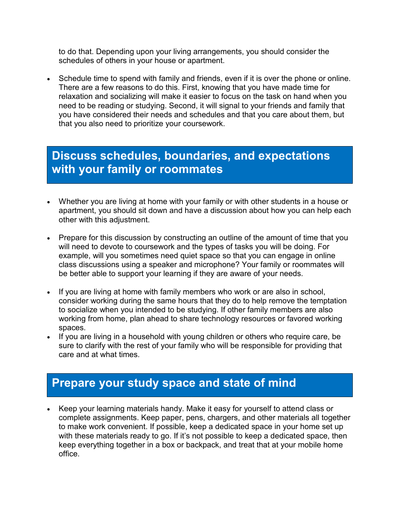to do that. Depending upon your living arrangements, you should consider the schedules of others in your house or apartment.

• Schedule time to spend with family and friends, even if it is over the phone or online. There are a few reasons to do this. First, knowing that you have made time for relaxation and socializing will make it easier to focus on the task on hand when you need to be reading or studying. Second, it will signal to your friends and family that you have considered their needs and schedules and that you care about them, but that you also need to prioritize your coursework.

## **Discuss schedules, boundaries, and expectations with your family or roommates**

- Whether you are living at home with your family or with other students in a house or apartment, you should sit down and have a discussion about how you can help each other with this adjustment.
- Prepare for this discussion by constructing an outline of the amount of time that you will need to devote to coursework and the types of tasks you will be doing. For example, will you sometimes need quiet space so that you can engage in online class discussions using a speaker and microphone? Your family or roommates will be better able to support your learning if they are aware of your needs.
- If you are living at home with family members who work or are also in school, consider working during the same hours that they do to help remove the temptation to socialize when you intended to be studying. If other family members are also working from home, plan ahead to share technology resources or favored working spaces.
- If you are living in a household with young children or others who require care, be sure to clarify with the rest of your family who will be responsible for providing that care and at what times.

### **Prepare your study space and state of mind**

• Keep your learning materials handy. Make it easy for yourself to attend class or complete assignments. Keep paper, pens, chargers, and other materials all together to make work convenient. If possible, keep a dedicated space in your home set up with these materials ready to go. If it's not possible to keep a dedicated space, then keep everything together in a box or backpack, and treat that at your mobile home office.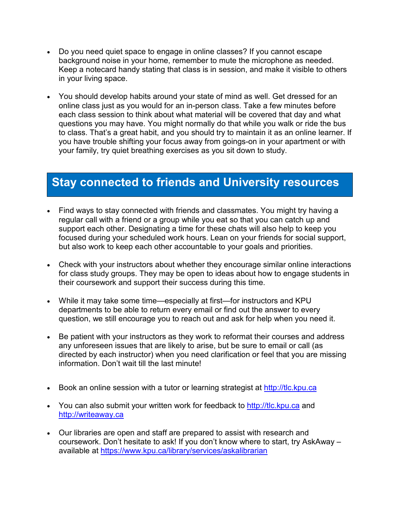- Do you need quiet space to engage in online classes? If you cannot escape background noise in your home, remember to mute the microphone as needed. Keep a notecard handy stating that class is in session, and make it visible to others in your living space.
- You should develop habits around your state of mind as well. Get dressed for an online class just as you would for an in-person class. Take a few minutes before each class session to think about what material will be covered that day and what questions you may have. You might normally do that while you walk or ride the bus to class. That's a great habit, and you should try to maintain it as an online learner. If you have trouble shifting your focus away from goings-on in your apartment or with your family, try quiet breathing exercises as you sit down to study.

#### **Stay connected to friends and University resources**

- Find ways to stay connected with friends and classmates. You might try having a regular call with a friend or a group while you eat so that you can catch up and support each other. Designating a time for these chats will also help to keep you focused during your scheduled work hours. Lean on your friends for social support, but also work to keep each other accountable to your goals and priorities.
- Check with your instructors about whether they encourage similar online interactions for class study groups. They may be open to ideas about how to engage students in their coursework and support their success during this time.
- While it may take some time—especially at first—for instructors and KPU departments to be able to return every email or find out the answer to every question, we still encourage you to reach out and ask for help when you need it.
- Be patient with your instructors as they work to reformat their courses and address any unforeseen issues that are likely to arise, but be sure to email or call (as directed by each instructor) when you need clarification or feel that you are missing information. Don't wait till the last minute!
- Book an online session with a tutor or learning strategist at http://tlc.kpu.ca
- You can also submit your written work for feedback to [http://tlc.kpu.ca](http://tlc.kpu.ca/) and [http://writeaway.ca](http://writeaway.ca/)
- Our libraries are open and staff are prepared to assist with research and coursework. Don't hesitate to ask! If you don't know where to start, try AskAway – available at<https://www.kpu.ca/library/services/askalibrarian>